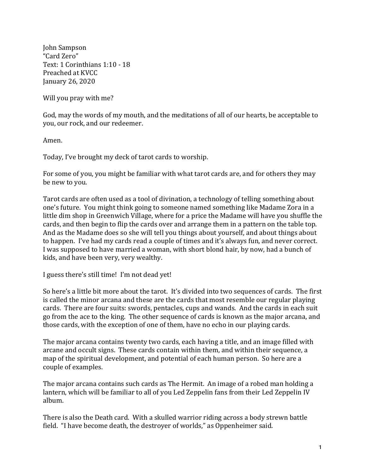John Sampson "Card Zero" Text: 1 Corinthians 1:10 - 18 Preached at KVCC January 26, 2020

Will you pray with me?

God, may the words of my mouth, and the meditations of all of our hearts, be acceptable to you, our rock, and our redeemer.

Amen.

Today, I've brought my deck of tarot cards to worship.

For some of you, you might be familiar with what tarot cards are, and for others they may be new to you.

Tarot cards are often used as a tool of divination, a technology of telling something about one's future. You might think going to someone named something like Madame Zora in a little dim shop in Greenwich Village, where for a price the Madame will have you shuffle the cards, and then begin to flip the cards over and arrange them in a pattern on the table top. And as the Madame does so she will tell you things about yourself, and about things about to happen. I've had my cards read a couple of times and it's always fun, and never correct. I was supposed to have married a woman, with short blond hair, by now, had a bunch of kids, and have been very, very wealthy.

I guess there's still time! I'm not dead yet!

So here's a little bit more about the tarot. It's divided into two sequences of cards. The first is called the minor arcana and these are the cards that most resemble our regular playing cards. There are four suits: swords, pentacles, cups and wands. And the cards in each suit go from the ace to the king. The other sequence of cards is known as the major arcana, and those cards, with the exception of one of them, have no echo in our playing cards.

The major arcana contains twenty two cards, each having a title, and an image filled with arcane and occult signs. These cards contain within them, and within their sequence, a map of the spiritual development, and potential of each human person. So here are a couple of examples.

The major arcana contains such cards as The Hermit. An image of a robed man holding a lantern, which will be familiar to all of you Led Zeppelin fans from their Led Zeppelin IV album.

There is also the Death card. With a skulled warrior riding across a body strewn battle field. "I have become death, the destroyer of worlds," as Oppenheimer said.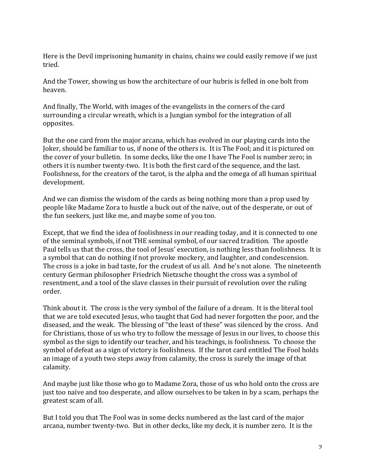Here is the Devil imprisoning humanity in chains, chains we could easily remove if we just tried.

And the Tower, showing us how the architecture of our hubris is felled in one bolt from heaven.

And finally, The World, with images of the evangelists in the corners of the card surrounding a circular wreath, which is a Jungian symbol for the integration of all opposites.

But the one card from the major arcana, which has evolved in our playing cards into the Joker, should be familiar to us, if none of the others is. It is The Fool; and it is pictured on the cover of your bulletin. In some decks, like the one I have The Fool is number zero; in others it is number twenty-two. It is both the first card of the sequence, and the last. Foolishness, for the creators of the tarot, is the alpha and the omega of all human spiritual development.

And we can dismiss the wisdom of the cards as being nothing more than a prop used by people like Madame Zora to hustle a buck out of the naïve, out of the desperate, or out of the fun seekers, just like me, and maybe some of you too.

Except, that we find the idea of foolishness in our reading today, and it is connected to one of the seminal symbols, if not THE seminal symbol, of our sacred tradition. The apostle Paul tells us that the cross, the tool of Jesus' execution, is nothing less than foolishness. It is a symbol that can do nothing if not provoke mockery, and laughter, and condescension. The cross is a joke in bad taste, for the crudest of us all. And he's not alone. The nineteenth century German philosopher Friedrich Nietzsche thought the cross was a symbol of resentment, and a tool of the slave classes in their pursuit of revolution over the ruling order.

Think about it. The cross is the very symbol of the failure of a dream. It is the literal tool that we are told executed Jesus, who taught that God had never forgotten the poor, and the diseased, and the weak. The blessing of "the least of these" was silenced by the cross. And for Christians, those of us who try to follow the message of Jesus in our lives, to choose this symbol as the sign to identify our teacher, and his teachings, is foolishness. To choose the symbol of defeat as a sign of victory is foolishness. If the tarot card entitled The Fool holds an image of a youth two steps away from calamity, the cross is surely the image of that calamity.

And maybe just like those who go to Madame Zora, those of us who hold onto the cross are just too naïve and too desperate, and allow ourselves to be taken in by a scam, perhaps the greatest scam of all.

But I told you that The Fool was in some decks numbered as the last card of the major arcana, number twenty-two. But in other decks, like my deck, it is number zero. It is the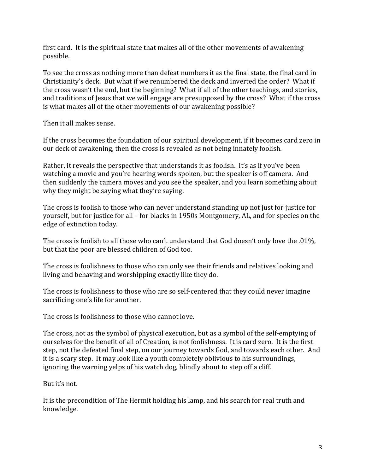first card. It is the spiritual state that makes all of the other movements of awakening possible.

To see the cross as nothing more than defeat numbers it as the final state, the final card in Christianity's deck. But what if we renumbered the deck and inverted the order? What if the cross wasn't the end, but the beginning? What if all of the other teachings, and stories, and traditions of Jesus that we will engage are presupposed by the cross? What if the cross is what makes all of the other movements of our awakening possible?

Then it all makes sense.

If the cross becomes the foundation of our spiritual development, if it becomes card zero in our deck of awakening, then the cross is revealed as not being innately foolish.

Rather, it reveals the perspective that understands it as foolish. It's as if you've been watching a movie and you're hearing words spoken, but the speaker is off camera. And then suddenly the camera moves and you see the speaker, and you learn something about why they might be saying what they're saying.

The cross is foolish to those who can never understand standing up not just for justice for yourself, but for justice for all – for blacks in 1950s Montgomery, AL, and for species on the edge of extinction today.

The cross is foolish to all those who can't understand that God doesn't only love the  $.01\%$ , but that the poor are blessed children of God too.

The cross is foolishness to those who can only see their friends and relatives looking and living and behaving and worshipping exactly like they do.

The cross is foolishness to those who are so self-centered that they could never imagine sacrificing one's life for another.

The cross is foolishness to those who cannot love.

The cross, not as the symbol of physical execution, but as a symbol of the self-emptying of ourselves for the benefit of all of Creation, is not foolishness. It is card zero. It is the first step, not the defeated final step, on our journey towards God, and towards each other. And it is a scary step. It may look like a youth completely oblivious to his surroundings, ignoring the warning yelps of his watch dog, blindly about to step off a cliff.

But it's not.

It is the precondition of The Hermit holding his lamp, and his search for real truth and knowledge.